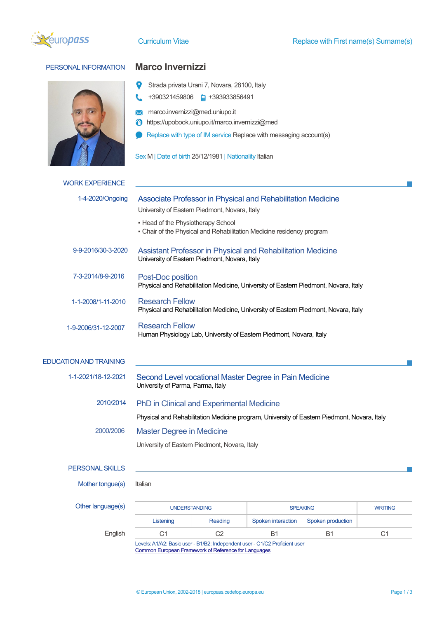

# PERSONAL INFORMATION **Marco Invernizzi**



- $\bullet$ Strada privata Urani 7, Novara, 28100, Italy
- t. +390321459806 **a** +393933856491
- **X** marco.invernizzi@med.uniupo.it
- https://upobook.uniupo.it/marco.invernizzi@med
- Replace with type of IM service Replace with messaging account(s)
- Sex M | Date of birth 25/12/1981 | Nationality Italian

| <b>WORK EXPERIENCE</b>        |                                                                                                                     |                |                                                                       |                   |                |  |  |
|-------------------------------|---------------------------------------------------------------------------------------------------------------------|----------------|-----------------------------------------------------------------------|-------------------|----------------|--|--|
| 1-4-2020/Ongoing              | Associate Professor in Physical and Rehabilitation Medicine                                                         |                |                                                                       |                   |                |  |  |
|                               | University of Eastern Piedmont, Novara, Italy                                                                       |                |                                                                       |                   |                |  |  |
|                               | • Head of the Physiotherapy School                                                                                  |                | - Chair of the Physical and Rehabilitation Medicine residency program |                   |                |  |  |
| 9-9-2016/30-3-2020            | <b>Assistant Professor in Physical and Rehabilitation Medicine</b><br>University of Eastern Piedmont, Novara, Italy |                |                                                                       |                   |                |  |  |
| 7-3-2014/8-9-2016             | Post-Doc position<br>Physical and Rehabilitation Medicine, University of Eastern Piedmont, Novara, Italy            |                |                                                                       |                   |                |  |  |
| 1-1-2008/1-11-2010            | <b>Research Fellow</b><br>Physical and Rehabilitation Medicine, University of Eastern Piedmont, Novara, Italy       |                |                                                                       |                   |                |  |  |
| 1-9-2006/31-12-2007           | <b>Research Fellow</b><br>Human Physiology Lab, University of Eastern Piedmont, Novara, Italy                       |                |                                                                       |                   |                |  |  |
| <b>EDUCATION AND TRAINING</b> |                                                                                                                     |                |                                                                       |                   |                |  |  |
| 1-1-2021/18-12-2021           | Second Level vocational Master Degree in Pain Medicine<br>University of Parma, Parma, Italy                         |                |                                                                       |                   |                |  |  |
| 2010/2014                     | PhD in Clinical and Experimental Medicine                                                                           |                |                                                                       |                   |                |  |  |
|                               | Physical and Rehabilitation Medicine program, University of Eastern Piedmont, Novara, Italy                         |                |                                                                       |                   |                |  |  |
| 2000/2006                     | <b>Master Degree in Medicine</b>                                                                                    |                |                                                                       |                   |                |  |  |
|                               | University of Eastern Piedmont, Novara, Italy                                                                       |                |                                                                       |                   |                |  |  |
| <b>PERSONAL SKILLS</b>        |                                                                                                                     |                |                                                                       |                   |                |  |  |
| Mother tongue(s)              | Italian                                                                                                             |                |                                                                       |                   |                |  |  |
| Other language(s)             | <b>UNDERSTANDING</b>                                                                                                |                |                                                                       | <b>SPEAKING</b>   | <b>WRITING</b> |  |  |
|                               | Listening                                                                                                           | Reading        | Spoken interaction                                                    | Spoken production |                |  |  |
| English                       | C <sub>1</sub>                                                                                                      | C <sub>2</sub> | <b>B1</b>                                                             | B1                | C <sub>1</sub> |  |  |

Levels: A1/A2: Basic user - B1/B2: Independent user - C1/C2 Proficient user Common European Framework of Reference for Languages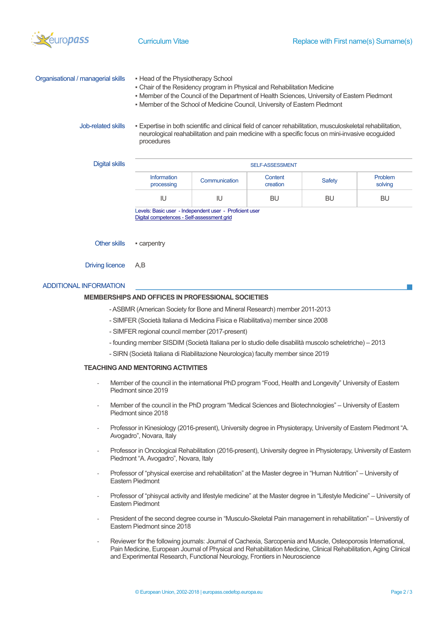

| Organisational / managerial skills | • Head of the Physiotherapy School<br>. Chair of the Residency program in Physical and Rehabilitation Medicine<br>. Member of the Council of the Department of Health Sciences, University of Eastern Piedmont<br>• Member of the School of Medicine Council, University of Eastern Piedmont |  |
|------------------------------------|----------------------------------------------------------------------------------------------------------------------------------------------------------------------------------------------------------------------------------------------------------------------------------------------|--|
| Job-related skills                 | . Expertise in both scientific and clinical field of cancer rehabilitation, musculoskeletal rehabilitation,<br>neurological reahabilitation and pain medicine with a specific focus on mini-invasive ecoguided<br>procedures                                                                 |  |

| Digital skills | <b>SELF-ASSESSMENT</b>           |               |                     |               |                           |  |  |
|----------------|----------------------------------|---------------|---------------------|---------------|---------------------------|--|--|
|                | <b>Information</b><br>processing | Communication | Content<br>creation | <b>Safety</b> | <b>Problem</b><br>solving |  |  |
|                | IU                               | IU            | BU                  | BU            | <b>BU</b>                 |  |  |
|                | .<br>.<br>.<br>.                 |               |                     |               |                           |  |  |

Levels: Basic user - Independent user - Proficient user Digital competences - Self-assessment grid

Other skills • carpentry

Driving licence A,B

## ADDITIONAL INFORMATION

### **MEMBERSHIPS AND OFFICES IN PROFESSIONAL SOCIETIES**

- -ASBMR (American Society for Bone and Mineral Research) member 2011-2013
- SIMFER (Società Italiana di Medicina Fisica e Riabilitativa) member since 2008
- SIMFER regional council member (2017-present)
- founding member SISDIM (Società Italiana per lo studio delle disabilità muscolo scheletriche) 2013
- SIRN (Società Italiana di Riabilitazione Neurologica) faculty member since 2019

## **TEACHING AND MENTORING ACTIVITIES**

- Member of the council in the international PhD program "Food, Health and Longevity" University of Eastern Piedmont since 2019
- Member of the council in the PhD program "Medical Sciences and Biotechnologies" University of Eastern Piedmont since 2018
- Professor in Kinesiology (2016-present), University degree in Physioterapy, University of Eastern Piedmont "A. Avogadro", Novara, Italy
- Professor in Oncological Rehabilitation (2016-present), University degree in Physioterapy, University of Eastern Piedmont "A. Avogadro", Novara, Italy
- Professor of "physical exercise and rehabilitation" at the Master degree in "Human Nutrition" University of Eastern Piedmont
- Professor of "phisycal activity and lifestyle medicine" at the Master degree in "Lifestyle Medicine" University of Eastern Piedmont
- President of the second degree course in "Musculo-Skeletal Pain management in rehabilitation" Universtiy of Eastern Piedmont since 2018
- Reviewer for the following journals: Journal of Cachexia, Sarcopenia and Muscle, Osteoporosis International, Pain Medicine, European Journal of Physical and Rehabilitation Medicine, Clinical Rehabilitation, Aging Clinical and Experimental Research, Functional Neurology, Frontiers in Neuroscience